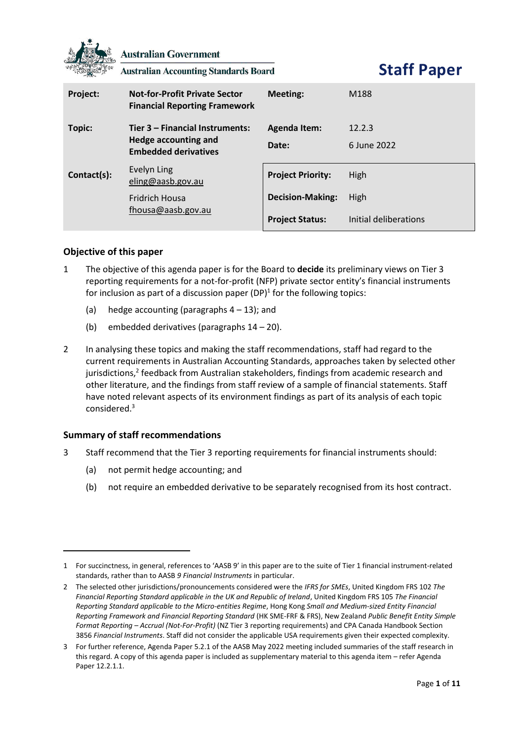

**Australian Government** 

**Australian Accounting Standards Board** 

**Staff Paper**

| Project:    | <b>Not-for-Profit Private Sector</b><br><b>Financial Reporting Framework</b>           | Meeting:                 | M188                  |
|-------------|----------------------------------------------------------------------------------------|--------------------------|-----------------------|
| Topic:      | Tier 3 - Financial Instruments:<br>Hedge accounting and<br><b>Embedded derivatives</b> | <b>Agenda Item:</b>      | 12.2.3                |
|             |                                                                                        | Date:                    | 6 June 2022           |
| Contact(s): | Evelyn Ling<br>eling@aasb.gov.au                                                       | <b>Project Priority:</b> | High                  |
|             | <b>Fridrich Housa</b><br>fhousa@aasb.gov.au                                            | <b>Decision-Making:</b>  | High                  |
|             |                                                                                        | <b>Project Status:</b>   | Initial deliberations |

# **Objective of this paper**

- 1 The objective of this agenda paper is for the Board to **decide** its preliminary views on Tier 3 reporting requirements for a not-for-profit (NFP) private sector entity's financial instruments for inclusion as part of a discussion paper (DP)<sup>1</sup> for the following topics:
	- (a) hedge accounting (paragraphs  $4 13$ ); and
	- (b) embedded derivatives (paragraphs 14 20).
- 2 In analysing these topics and making the staff recommendations, staff had regard to the current requirements in Australian Accounting Standards, approaches taken by selected other jurisdictions,<sup>2</sup> feedback from Australian stakeholders, findings from academic research and other literature, and the findings from staff review of a sample of financial statements. Staff have noted relevant aspects of its environment findings as part of its analysis of each topic considered. 3

# **Summary of staff recommendations**

- 3 Staff recommend that the Tier 3 reporting requirements for financial instruments should:
	- (a) not permit hedge accounting; and
	- (b) not require an embedded derivative to be separately recognised from its host contract.

<sup>1</sup> For succinctness, in general, references to 'AASB 9' in this paper are to the suite of Tier 1 financial instrument-related standards, rather than to AASB *9 Financial Instruments* in particular.

<sup>2</sup> The selected other jurisdictions/pronouncements considered were the *IFRS for SMEs*, United Kingdom FRS 102 *The Financial Reporting Standard applicable in the UK and Republic of Ireland*, United Kingdom FRS 105 *The Financial Reporting Standard applicable to the Micro-entities Regime*, Hong Kong *Small and Medium-sized Entity Financial Reporting Framework and Financial Reporting Standard* (HK SME-FRF & FRS), New Zealand *Public Benefit Entity Simple Format Reporting – Accrual (Not-For-Profit)* (NZ Tier 3 reporting requirements) and CPA Canada Handbook Section 3856 *Financial Instruments*. Staff did not consider the applicable USA requirements given their expected complexity.

<sup>3</sup> For further reference, Agenda Paper 5.2.1 of the AASB May 2022 meeting included summaries of the staff research in this regard. A copy of this agenda paper is included as supplementary material to this agenda item – refer Agenda Paper 12.2.1.1.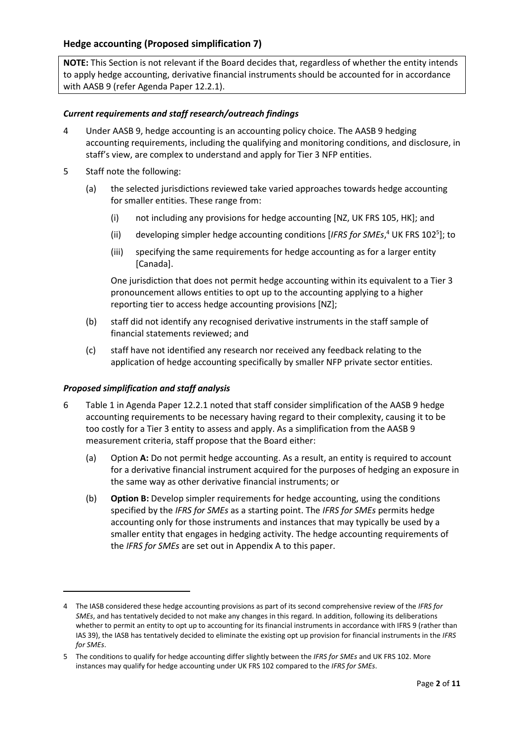### **Hedge accounting (Proposed simplification 7)**

**NOTE:** This Section is not relevant if the Board decides that, regardless of whether the entity intends to apply hedge accounting, derivative financial instruments should be accounted for in accordance with AASB 9 (refer Agenda Paper 12.2.1).

#### *Current requirements and staff research/outreach findings*

- 4 Under AASB 9, hedge accounting is an accounting policy choice. The AASB 9 hedging accounting requirements, including the qualifying and monitoring conditions, and disclosure, in staff's view, are complex to understand and apply for Tier 3 NFP entities.
- 5 Staff note the following:
	- (a) the selected jurisdictions reviewed take varied approaches towards hedge accounting for smaller entities. These range from:
		- (i) not including any provisions for hedge accounting [NZ, UK FRS 105, HK]; and
		- (ii) developing simpler hedge accounting conditions [IFRS for SMEs,<sup>4</sup> UK FRS 102<sup>5</sup>]; to
		- (iii) specifying the same requirements for hedge accounting as for a larger entity [Canada].

One jurisdiction that does not permit hedge accounting within its equivalent to a Tier 3 pronouncement allows entities to opt up to the accounting applying to a higher reporting tier to access hedge accounting provisions [NZ];

- (b) staff did not identify any recognised derivative instruments in the staff sample of financial statements reviewed; and
- (c) staff have not identified any research nor received any feedback relating to the application of hedge accounting specifically by smaller NFP private sector entities.

#### *Proposed simplification and staff analysis*

- 6 Table 1 in Agenda Paper 12.2.1 noted that staff consider simplification of the AASB 9 hedge accounting requirements to be necessary having regard to their complexity, causing it to be too costly for a Tier 3 entity to assess and apply. As a simplification from the AASB 9 measurement criteria, staff propose that the Board either:
	- (a) Option **A:** Do not permit hedge accounting. As a result, an entity is required to account for a derivative financial instrument acquired for the purposes of hedging an exposure in the same way as other derivative financial instruments; or
	- (b) **Option B:** Develop simpler requirements for hedge accounting, using the conditions specified by the *IFRS for SMEs* as a starting point. The *IFRS for SMEs* permits hedge accounting only for those instruments and instances that may typically be used by a smaller entity that engages in hedging activity. The hedge accounting requirements of the *IFRS for SMEs* are set out in Appendix A to this paper.

<sup>4</sup> The IASB considered these hedge accounting provisions as part of its second comprehensive review of the *IFRS for SMEs*, and has tentatively decided to not make any changes in this regard. In addition, following its deliberations whether to permit an entity to opt up to accounting for its financial instruments in accordance with IFRS 9 (rather than IAS 39), the IASB has tentatively decided to eliminate the existing opt up provision for financial instruments in the *IFRS for SMEs*.

<sup>5</sup> The conditions to qualify for hedge accounting differ slightly between the *IFRS for SMEs* and UK FRS 102. More instances may qualify for hedge accounting under UK FRS 102 compared to the *IFRS for SMEs*.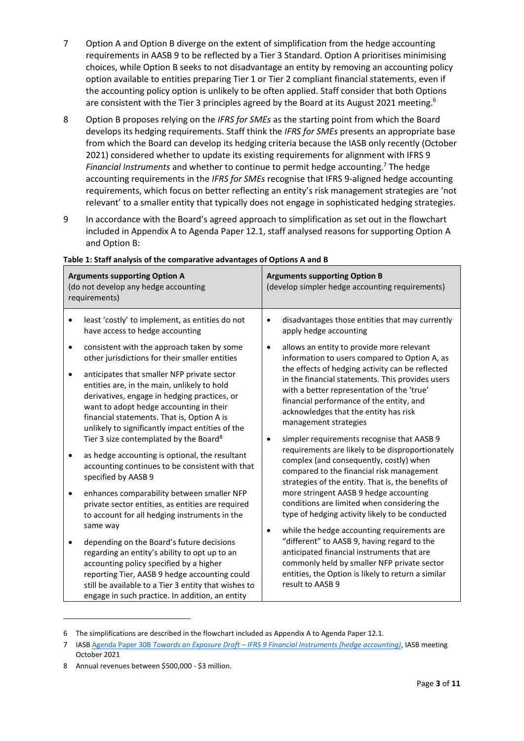- 7 Option A and Option B diverge on the extent of simplification from the hedge accounting requirements in AASB 9 to be reflected by a Tier 3 Standard. Option A prioritises minimising choices, while Option B seeks to not disadvantage an entity by removing an accounting policy option available to entities preparing Tier 1 or Tier 2 compliant financial statements, even if the accounting policy option is unlikely to be often applied. Staff consider that both Options are consistent with the Tier 3 principles agreed by the Board at its August 2021 meeting.<sup>6</sup>
- 8 Option B proposes relying on the *IFRS for SMEs* as the starting point from which the Board develops its hedging requirements. Staff think the *IFRS for SMEs* presents an appropriate base from which the Board can develop its hedging criteria because the IASB only recently (October 2021) considered whether to update its existing requirements for alignment with IFRS 9 *Financial Instruments* and whether to continue to permit hedge accounting. <sup>7</sup> The hedge accounting requirements in the *IFRS for SMEs* recognise that IFRS 9-aligned hedge accounting requirements, which focus on better reflecting an entity's risk management strategies are 'not relevant' to a smaller entity that typically does not engage in sophisticated hedging strategies.
- 9 In accordance with the Board's agreed approach to simplification as set out in the flowchart included in Appendix A to Agenda Paper 12.1, staff analysed reasons for supporting Option A and Option B:

| <b>Arguments supporting Option A</b><br>(do not develop any hedge accounting<br>requirements) |                                                                                                                                                                                                                                                                                                                                                                                                                                                                                                                                                                                                                                                                                                                                                                     | <b>Arguments supporting Option B</b><br>(develop simpler hedge accounting requirements)                                                                                                                                                                                                                                                                                                                                                                                                                                                                                                                                                                                                                                                                                      |  |
|-----------------------------------------------------------------------------------------------|---------------------------------------------------------------------------------------------------------------------------------------------------------------------------------------------------------------------------------------------------------------------------------------------------------------------------------------------------------------------------------------------------------------------------------------------------------------------------------------------------------------------------------------------------------------------------------------------------------------------------------------------------------------------------------------------------------------------------------------------------------------------|------------------------------------------------------------------------------------------------------------------------------------------------------------------------------------------------------------------------------------------------------------------------------------------------------------------------------------------------------------------------------------------------------------------------------------------------------------------------------------------------------------------------------------------------------------------------------------------------------------------------------------------------------------------------------------------------------------------------------------------------------------------------------|--|
|                                                                                               | least 'costly' to implement, as entities do not<br>$\bullet$<br>have access to hedge accounting                                                                                                                                                                                                                                                                                                                                                                                                                                                                                                                                                                                                                                                                     | disadvantages those entities that may currently<br>$\bullet$<br>apply hedge accounting                                                                                                                                                                                                                                                                                                                                                                                                                                                                                                                                                                                                                                                                                       |  |
|                                                                                               | consistent with the approach taken by some<br>other jurisdictions for their smaller entities<br>anticipates that smaller NFP private sector<br>$\bullet$<br>entities are, in the main, unlikely to hold<br>derivatives, engage in hedging practices, or<br>want to adopt hedge accounting in their<br>financial statements. That is, Option A is<br>unlikely to significantly impact entities of the<br>Tier 3 size contemplated by the Board <sup>8</sup><br>as hedge accounting is optional, the resultant<br>accounting continues to be consistent with that<br>specified by AASB 9<br>enhances comparability between smaller NFP<br>$\bullet$<br>private sector entities, as entities are required<br>to account for all hedging instruments in the<br>same way | allows an entity to provide more relevant<br>٠<br>information to users compared to Option A, as<br>the effects of hedging activity can be reflected<br>in the financial statements. This provides users<br>with a better representation of the 'true'<br>financial performance of the entity, and<br>acknowledges that the entity has risk<br>management strategies<br>simpler requirements recognise that AASB 9<br>$\bullet$<br>requirements are likely to be disproportionately<br>complex (and consequently, costly) when<br>compared to the financial risk management<br>strategies of the entity. That is, the benefits of<br>more stringent AASB 9 hedge accounting<br>conditions are limited when considering the<br>type of hedging activity likely to be conducted |  |
|                                                                                               | depending on the Board's future decisions<br>$\bullet$<br>regarding an entity's ability to opt up to an<br>accounting policy specified by a higher<br>reporting Tier, AASB 9 hedge accounting could<br>still be available to a Tier 3 entity that wishes to<br>engage in such practice. In addition, an entity                                                                                                                                                                                                                                                                                                                                                                                                                                                      | while the hedge accounting requirements are<br>"different" to AASB 9, having regard to the<br>anticipated financial instruments that are<br>commonly held by smaller NFP private sector<br>entities, the Option is likely to return a similar<br>result to AASB 9                                                                                                                                                                                                                                                                                                                                                                                                                                                                                                            |  |

### **Table 1: Staff analysis of the comparative advantages of Options A and B**

<sup>6</sup> The simplifications are described in the flowchart included as Appendix A to Agenda Paper 12.1.

<sup>7</sup> IASB Agenda Paper 30B *Towards an Exposure Draft – [IFRS 9 Financial Instruments \(hedge accounting\)](https://www.ifrs.org/content/dam/ifrs/meetings/2021/october/iasb/ap30b-ifrs-9-hedge-accounting.pdf)*, IASB meeting October 2021

<sup>8</sup> Annual revenues between \$500,000 - \$3 million.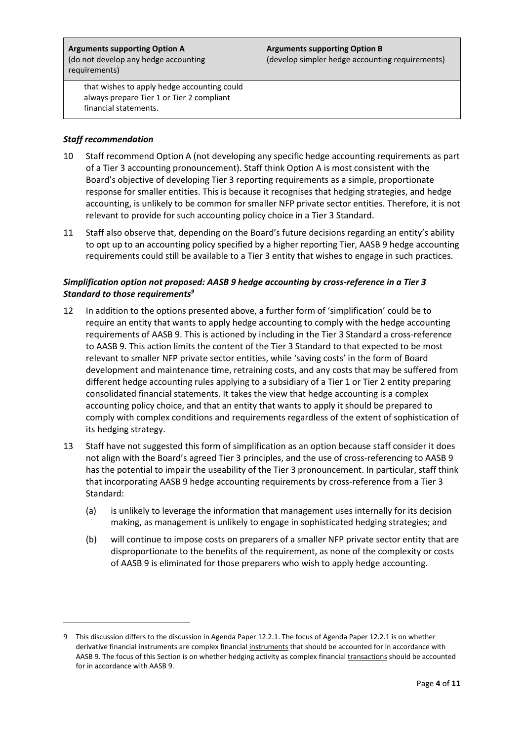| <b>Arguments supporting Option A</b><br>(do not develop any hedge accounting<br>requirements)                     | <b>Arguments supporting Option B</b><br>(develop simpler hedge accounting requirements) |
|-------------------------------------------------------------------------------------------------------------------|-----------------------------------------------------------------------------------------|
| that wishes to apply hedge accounting could<br>always prepare Tier 1 or Tier 2 compliant<br>financial statements. |                                                                                         |

### *Staff recommendation*

- 10 Staff recommend Option A (not developing any specific hedge accounting requirements as part of a Tier 3 accounting pronouncement). Staff think Option A is most consistent with the Board's objective of developing Tier 3 reporting requirements as a simple, proportionate response for smaller entities. This is because it recognises that hedging strategies, and hedge accounting, is unlikely to be common for smaller NFP private sector entities. Therefore, it is not relevant to provide for such accounting policy choice in a Tier 3 Standard.
- 11 Staff also observe that, depending on the Board's future decisions regarding an entity's ability to opt up to an accounting policy specified by a higher reporting Tier, AASB 9 hedge accounting requirements could still be available to a Tier 3 entity that wishes to engage in such practices.

### *Simplification option not proposed: AASB 9 hedge accounting by cross-reference in a Tier 3 Standard to those requirements<sup>9</sup>*

- 12 In addition to the options presented above, a further form of 'simplification' could be to require an entity that wants to apply hedge accounting to comply with the hedge accounting requirements of AASB 9. This is actioned by including in the Tier 3 Standard a cross-reference to AASB 9. This action limits the content of the Tier 3 Standard to that expected to be most relevant to smaller NFP private sector entities, while 'saving costs' in the form of Board development and maintenance time, retraining costs, and any costs that may be suffered from different hedge accounting rules applying to a subsidiary of a Tier 1 or Tier 2 entity preparing consolidated financial statements. It takes the view that hedge accounting is a complex accounting policy choice, and that an entity that wants to apply it should be prepared to comply with complex conditions and requirements regardless of the extent of sophistication of its hedging strategy.
- 13 Staff have not suggested this form of simplification as an option because staff consider it does not align with the Board's agreed Tier 3 principles, and the use of cross-referencing to AASB 9 has the potential to impair the useability of the Tier 3 pronouncement. In particular, staff think that incorporating AASB 9 hedge accounting requirements by cross-reference from a Tier 3 Standard:
	- (a) is unlikely to leverage the information that management uses internally for its decision making, as management is unlikely to engage in sophisticated hedging strategies; and
	- (b) will continue to impose costs on preparers of a smaller NFP private sector entity that are disproportionate to the benefits of the requirement, as none of the complexity or costs of AASB 9 is eliminated for those preparers who wish to apply hedge accounting.

<sup>9</sup> This discussion differs to the discussion in Agenda Paper 12.2.1. The focus of Agenda Paper 12.2.1 is on whether derivative financial instruments are complex financial instruments that should be accounted for in accordance with AASB 9. The focus of this Section is on whether hedging activity as complex financial transactions should be accounted for in accordance with AASB 9.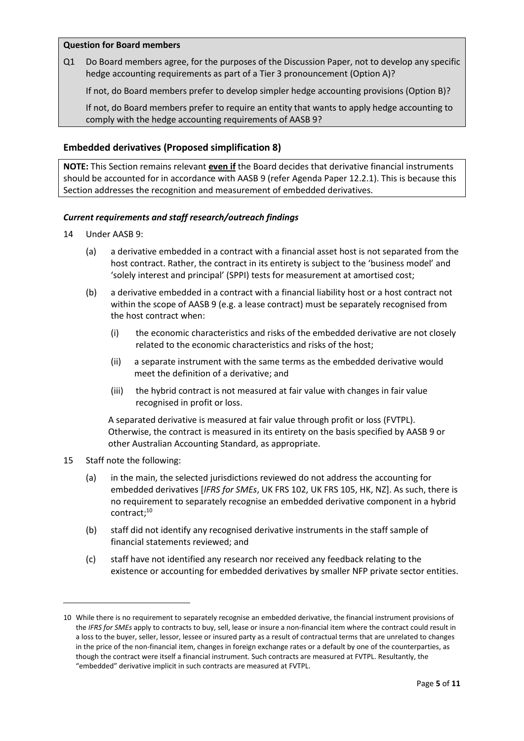#### **Question for Board members**

Q1 Do Board members agree, for the purposes of the Discussion Paper, not to develop any specific hedge accounting requirements as part of a Tier 3 pronouncement (Option A)?

If not, do Board members prefer to develop simpler hedge accounting provisions (Option B)?

If not, do Board members prefer to require an entity that wants to apply hedge accounting to comply with the hedge accounting requirements of AASB 9?

### **Embedded derivatives (Proposed simplification 8)**

**NOTE:** This Section remains relevant **even if** the Board decides that derivative financial instruments should be accounted for in accordance with AASB 9 (refer Agenda Paper 12.2.1). This is because this Section addresses the recognition and measurement of embedded derivatives.

### *Current requirements and staff research/outreach findings*

- 14 Under AASB 9:
	- (a) a derivative embedded in a contract with a financial asset host is not separated from the host contract. Rather, the contract in its entirety is subject to the 'business model' and 'solely interest and principal' (SPPI) tests for measurement at amortised cost;
	- (b) a derivative embedded in a contract with a financial liability host or a host contract not within the scope of AASB 9 (e.g. a lease contract) must be separately recognised from the host contract when:
		- (i) the economic characteristics and risks of the embedded derivative are not closely related to the economic characteristics and risks of the host;
		- (ii) a separate instrument with the same terms as the embedded derivative would meet the definition of a derivative; and
		- (iii) the hybrid contract is not measured at fair value with changes in fair value recognised in profit or loss.

A separated derivative is measured at fair value through profit or loss (FVTPL). Otherwise, the contract is measured in its entirety on the basis specified by AASB 9 or other Australian Accounting Standard, as appropriate.

- 15 Staff note the following:
	- (a) in the main, the selected jurisdictions reviewed do not address the accounting for embedded derivatives [*IFRS for SMEs*, UK FRS 102, UK FRS 105, HK, NZ]. As such, there is no requirement to separately recognise an embedded derivative component in a hybrid contract; 10
	- (b) staff did not identify any recognised derivative instruments in the staff sample of financial statements reviewed; and
	- (c) staff have not identified any research nor received any feedback relating to the existence or accounting for embedded derivatives by smaller NFP private sector entities.

<sup>10</sup> While there is no requirement to separately recognise an embedded derivative, the financial instrument provisions of the *IFRS for SMEs* apply to contracts to buy, sell, lease or insure a non-financial item where the contract could result in a loss to the buyer, seller, lessor, lessee or insured party as a result of contractual terms that are unrelated to changes in the price of the non-financial item, changes in foreign exchange rates or a default by one of the counterparties, as though the contract were itself a financial instrument. Such contracts are measured at FVTPL. Resultantly, the "embedded" derivative implicit in such contracts are measured at FVTPL.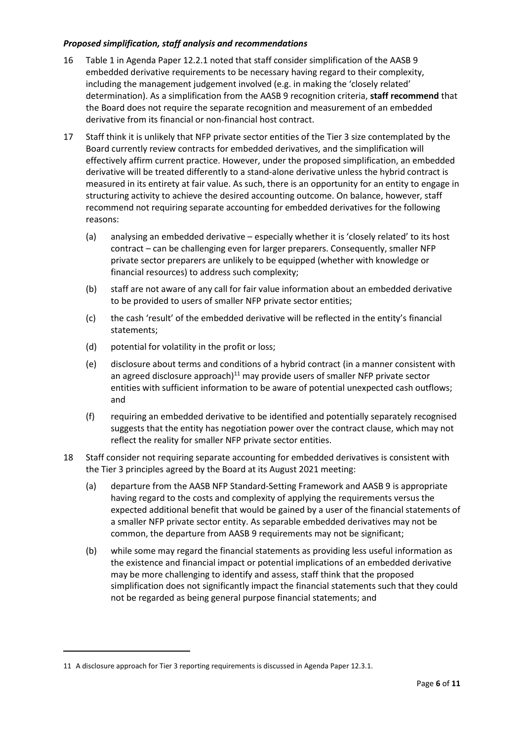### *Proposed simplification, staff analysis and recommendations*

- 16 Table 1 in Agenda Paper 12.2.1 noted that staff consider simplification of the AASB 9 embedded derivative requirements to be necessary having regard to their complexity, including the management judgement involved (e.g. in making the 'closely related' determination). As a simplification from the AASB 9 recognition criteria, **staff recommend** that the Board does not require the separate recognition and measurement of an embedded derivative from its financial or non-financial host contract.
- 17 Staff think it is unlikely that NFP private sector entities of the Tier 3 size contemplated by the Board currently review contracts for embedded derivatives, and the simplification will effectively affirm current practice. However, under the proposed simplification, an embedded derivative will be treated differently to a stand-alone derivative unless the hybrid contract is measured in its entirety at fair value. As such, there is an opportunity for an entity to engage in structuring activity to achieve the desired accounting outcome. On balance, however, staff recommend not requiring separate accounting for embedded derivatives for the following reasons:
	- (a) analysing an embedded derivative especially whether it is 'closely related' to its host contract – can be challenging even for larger preparers. Consequently, smaller NFP private sector preparers are unlikely to be equipped (whether with knowledge or financial resources) to address such complexity;
	- (b) staff are not aware of any call for fair value information about an embedded derivative to be provided to users of smaller NFP private sector entities;
	- (c) the cash 'result' of the embedded derivative will be reflected in the entity's financial statements;
	- (d) potential for volatility in the profit or loss;
	- (e) disclosure about terms and conditions of a hybrid contract (in a manner consistent with an agreed disclosure approach) $11$  may provide users of smaller NFP private sector entities with sufficient information to be aware of potential unexpected cash outflows; and
	- (f) requiring an embedded derivative to be identified and potentially separately recognised suggests that the entity has negotiation power over the contract clause, which may not reflect the reality for smaller NFP private sector entities.
- 18 Staff consider not requiring separate accounting for embedded derivatives is consistent with the Tier 3 principles agreed by the Board at its August 2021 meeting:
	- (a) departure from the AASB NFP Standard-Setting Framework and AASB 9 is appropriate having regard to the costs and complexity of applying the requirements versus the expected additional benefit that would be gained by a user of the financial statements of a smaller NFP private sector entity. As separable embedded derivatives may not be common, the departure from AASB 9 requirements may not be significant;
	- (b) while some may regard the financial statements as providing less useful information as the existence and financial impact or potential implications of an embedded derivative may be more challenging to identify and assess, staff think that the proposed simplification does not significantly impact the financial statements such that they could not be regarded as being general purpose financial statements; and

<sup>11</sup> A disclosure approach for Tier 3 reporting requirements is discussed in Agenda Paper 12.3.1.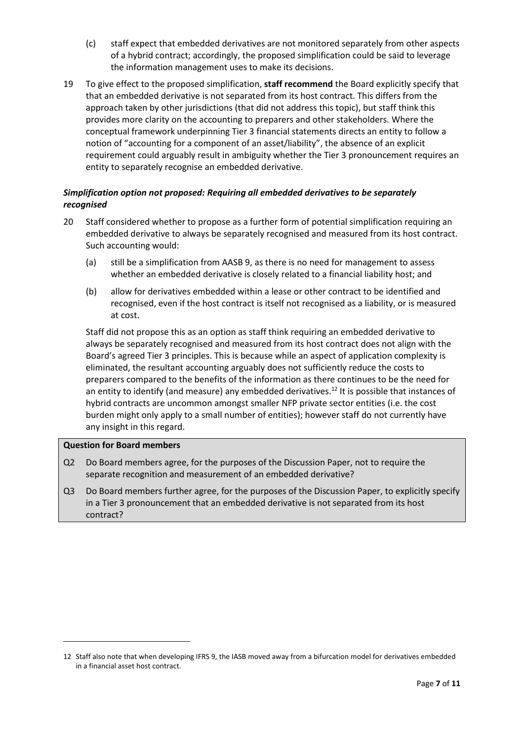- (c) staff expect that embedded derivatives are not monitored separately from other aspects of a hybrid contract; accordingly, the proposed simplification could be said to leverage the information management uses to make its decisions.
- 19 To give effect to the proposed simplification, **staff recommend** the Board explicitly specify that that an embedded derivative is not separated from its host contract. This differs from the approach taken by other jurisdictions (that did not address this topic), but staff think this provides more clarity on the accounting to preparers and other stakeholders. Where the conceptual framework underpinning Tier 3 financial statements directs an entity to follow a notion of "accounting for a component of an asset/liability", the absence of an explicit requirement could arguably result in ambiguity whether the Tier 3 pronouncement requires an entity to separately recognise an embedded derivative.

# *Simplification option not proposed: Requiring all embedded derivatives to be separately recognised*

- 20 Staff considered whether to propose as a further form of potential simplification requiring an embedded derivative to always be separately recognised and measured from its host contract. Such accounting would:
	- (a) still be a simplification from AASB 9, as there is no need for management to assess whether an embedded derivative is closely related to a financial liability host; and
	- (b) allow for derivatives embedded within a lease or other contract to be identified and recognised, even if the host contract is itself not recognised as a liability, or is measured at cost.

Staff did not propose this as an option as staff think requiring an embedded derivative to always be separately recognised and measured from its host contract does not align with the Board's agreed Tier 3 principles. This is because while an aspect of application complexity is eliminated, the resultant accounting arguably does not sufficiently reduce the costs to preparers compared to the benefits of the information as there continues to be the need for an entity to identify (and measure) any embedded derivatives.<sup>12</sup> It is possible that instances of hybrid contracts are uncommon amongst smaller NFP private sector entities (i.e. the cost burden might only apply to a small number of entities); however staff do not currently have any insight in this regard.

### **Question for Board members**

- Q2 Do Board members agree, for the purposes of the Discussion Paper, not to require the separate recognition and measurement of an embedded derivative?
- Q3 Do Board members further agree, for the purposes of the Discussion Paper, to explicitly specify in a Tier 3 pronouncement that an embedded derivative is not separated from its host contract?

<sup>12</sup> Staff also note that when developing IFRS 9, the IASB moved away from a bifurcation model for derivatives embedded in a financial asset host contract.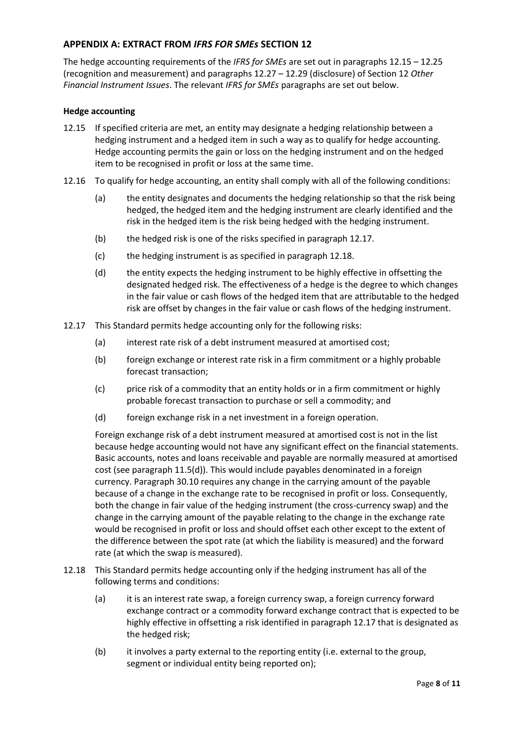### **APPENDIX A: EXTRACT FROM** *IFRS FOR SMEs* **SECTION 12**

The hedge accounting requirements of the *IFRS for SMEs* are set out in paragraphs 12.15 – 12.25 (recognition and measurement) and paragraphs 12.27 – 12.29 (disclosure) of Section 12 *Other Financial Instrument Issues*. The relevant *IFRS for SMEs* paragraphs are set out below.

#### **Hedge accounting**

- 12.15 If specified criteria are met, an entity may designate a hedging relationship between a hedging instrument and a hedged item in such a way as to qualify for hedge accounting. Hedge accounting permits the gain or loss on the hedging instrument and on the hedged item to be recognised in profit or loss at the same time.
- 12.16 To qualify for hedge accounting, an entity shall comply with all of the following conditions:
	- (a) the entity designates and documents the hedging relationship so that the risk being hedged, the hedged item and the hedging instrument are clearly identified and the risk in the hedged item is the risk being hedged with the hedging instrument.
	- (b) the hedged risk is one of the risks specified in paragraph 12.17.
	- (c) the hedging instrument is as specified in paragraph 12.18.
	- (d) the entity expects the hedging instrument to be highly effective in offsetting the designated hedged risk. The effectiveness of a hedge is the degree to which changes in the fair value or cash flows of the hedged item that are attributable to the hedged risk are offset by changes in the fair value or cash flows of the hedging instrument.
- 12.17 This Standard permits hedge accounting only for the following risks:
	- (a) interest rate risk of a debt instrument measured at amortised cost;
	- (b) foreign exchange or interest rate risk in a firm commitment or a highly probable forecast transaction;
	- (c) price risk of a commodity that an entity holds or in a firm commitment or highly probable forecast transaction to purchase or sell a commodity; and
	- (d) foreign exchange risk in a net investment in a foreign operation.

Foreign exchange risk of a debt instrument measured at amortised cost is not in the list because hedge accounting would not have any significant effect on the financial statements. Basic accounts, notes and loans receivable and payable are normally measured at amortised cost (see paragraph 11.5(d)). This would include payables denominated in a foreign currency. Paragraph 30.10 requires any change in the carrying amount of the payable because of a change in the exchange rate to be recognised in profit or loss. Consequently, both the change in fair value of the hedging instrument (the cross-currency swap) and the change in the carrying amount of the payable relating to the change in the exchange rate would be recognised in profit or loss and should offset each other except to the extent of the difference between the spot rate (at which the liability is measured) and the forward rate (at which the swap is measured).

- 12.18 This Standard permits hedge accounting only if the hedging instrument has all of the following terms and conditions:
	- (a) it is an interest rate swap, a foreign currency swap, a foreign currency forward exchange contract or a commodity forward exchange contract that is expected to be highly effective in offsetting a risk identified in paragraph 12.17 that is designated as the hedged risk;
	- (b) it involves a party external to the reporting entity (i.e. external to the group, segment or individual entity being reported on);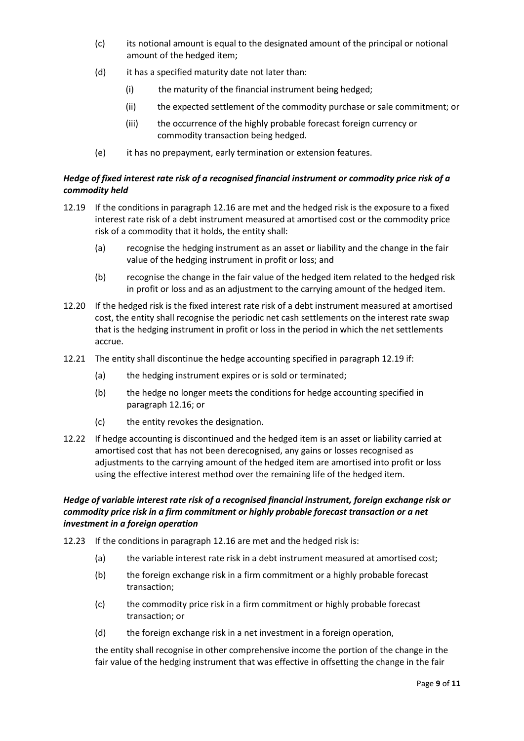- (c) its notional amount is equal to the designated amount of the principal or notional amount of the hedged item;
- (d) it has a specified maturity date not later than:
	- (i) the maturity of the financial instrument being hedged;
	- (ii) the expected settlement of the commodity purchase or sale commitment; or
	- (iii) the occurrence of the highly probable forecast foreign currency or commodity transaction being hedged.
- (e) it has no prepayment, early termination or extension features.

# *Hedge of fixed interest rate risk of a recognised financial instrument or commodity price risk of a commodity held*

- 12.19 If the conditions in paragraph 12.16 are met and the hedged risk is the exposure to a fixed interest rate risk of a debt instrument measured at amortised cost or the commodity price risk of a commodity that it holds, the entity shall:
	- (a) recognise the hedging instrument as an asset or liability and the change in the fair value of the hedging instrument in profit or loss; and
	- (b) recognise the change in the fair value of the hedged item related to the hedged risk in profit or loss and as an adjustment to the carrying amount of the hedged item.
- 12.20 If the hedged risk is the fixed interest rate risk of a debt instrument measured at amortised cost, the entity shall recognise the periodic net cash settlements on the interest rate swap that is the hedging instrument in profit or loss in the period in which the net settlements accrue.
- 12.21 The entity shall discontinue the hedge accounting specified in paragraph 12.19 if:
	- (a) the hedging instrument expires or is sold or terminated;
	- (b) the hedge no longer meets the conditions for hedge accounting specified in paragraph 12.16; or
	- (c) the entity revokes the designation.
- 12.22 If hedge accounting is discontinued and the hedged item is an asset or liability carried at amortised cost that has not been derecognised, any gains or losses recognised as adjustments to the carrying amount of the hedged item are amortised into profit or loss using the effective interest method over the remaining life of the hedged item.

### *Hedge of variable interest rate risk of a recognised financial instrument, foreign exchange risk or commodity price risk in a firm commitment or highly probable forecast transaction or a net investment in a foreign operation*

- 12.23 If the conditions in paragraph 12.16 are met and the hedged risk is:
	- (a) the variable interest rate risk in a debt instrument measured at amortised cost;
	- (b) the foreign exchange risk in a firm commitment or a highly probable forecast transaction;
	- (c) the commodity price risk in a firm commitment or highly probable forecast transaction; or
	- (d) the foreign exchange risk in a net investment in a foreign operation,

the entity shall recognise in other comprehensive income the portion of the change in the fair value of the hedging instrument that was effective in offsetting the change in the fair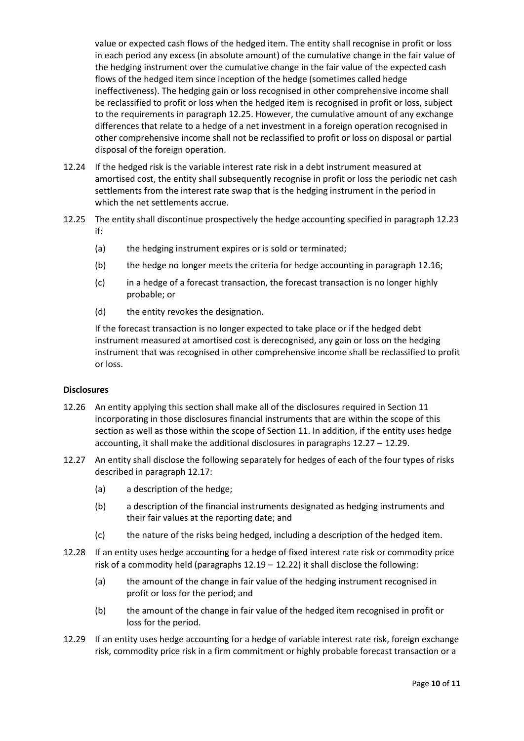value or expected cash flows of the hedged item. The entity shall recognise in profit or loss in each period any excess (in absolute amount) of the cumulative change in the fair value of the hedging instrument over the cumulative change in the fair value of the expected cash flows of the hedged item since inception of the hedge (sometimes called hedge ineffectiveness). The hedging gain or loss recognised in other comprehensive income shall be reclassified to profit or loss when the hedged item is recognised in profit or loss, subject to the requirements in paragraph 12.25. However, the cumulative amount of any exchange differences that relate to a hedge of a net investment in a foreign operation recognised in other comprehensive income shall not be reclassified to profit or loss on disposal or partial disposal of the foreign operation.

- 12.24 If the hedged risk is the variable interest rate risk in a debt instrument measured at amortised cost, the entity shall subsequently recognise in profit or loss the periodic net cash settlements from the interest rate swap that is the hedging instrument in the period in which the net settlements accrue.
- 12.25 The entity shall discontinue prospectively the hedge accounting specified in paragraph 12.23 if:
	- (a) the hedging instrument expires or is sold or terminated;
	- (b) the hedge no longer meets the criteria for hedge accounting in paragraph 12.16;
	- (c) in a hedge of a forecast transaction, the forecast transaction is no longer highly probable; or
	- (d) the entity revokes the designation.

If the forecast transaction is no longer expected to take place or if the hedged debt instrument measured at amortised cost is derecognised, any gain or loss on the hedging instrument that was recognised in other comprehensive income shall be reclassified to profit or loss.

### **Disclosures**

- 12.26 An entity applying this section shall make all of the disclosures required in Section 11 incorporating in those disclosures financial instruments that are within the scope of this section as well as those within the scope of Section 11. In addition, if the entity uses hedge accounting, it shall make the additional disclosures in paragraphs 12.27 – 12.29.
- 12.27 An entity shall disclose the following separately for hedges of each of the four types of risks described in paragraph 12.17:
	- (a) a description of the hedge;
	- (b) a description of the financial instruments designated as hedging instruments and their fair values at the reporting date; and
	- (c) the nature of the risks being hedged, including a description of the hedged item.
- 12.28 If an entity uses hedge accounting for a hedge of fixed interest rate risk or commodity price risk of a commodity held (paragraphs 12.19 – 12.22) it shall disclose the following:
	- (a) the amount of the change in fair value of the hedging instrument recognised in profit or loss for the period; and
	- (b) the amount of the change in fair value of the hedged item recognised in profit or loss for the period.
- 12.29 If an entity uses hedge accounting for a hedge of variable interest rate risk, foreign exchange risk, commodity price risk in a firm commitment or highly probable forecast transaction or a